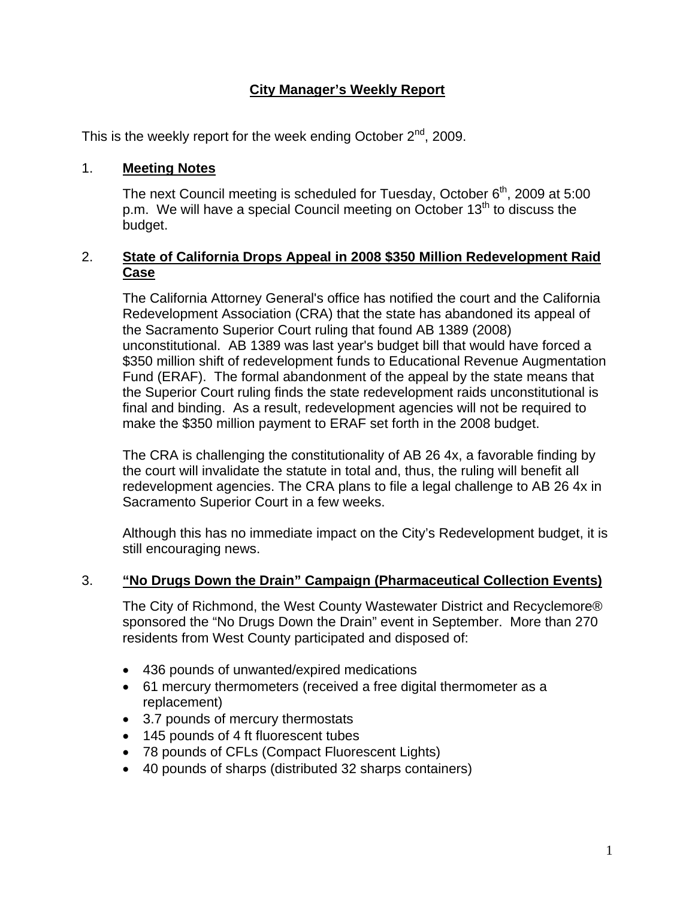#### **City Manager's Weekly Report**

This is the weekly report for the week ending October  $2^{nd}$ , 2009.

#### 1. **Meeting Notes**

The next Council meeting is scheduled for Tuesday, October 6<sup>th</sup>, 2009 at 5:00 p.m. We will have a special Council meeting on October  $13<sup>th</sup>$  to discuss the budget.

#### 2. **State of California Drops Appeal in 2008 \$350 Million Redevelopment Raid Case**

The California Attorney General's office has notified the court and the California Redevelopment Association (CRA) that the state has abandoned its appeal of the Sacramento Superior Court ruling that found AB 1389 (2008) unconstitutional. AB 1389 was last year's budget bill that would have forced a \$350 million shift of redevelopment funds to Educational Revenue Augmentation Fund (ERAF). The formal abandonment of the appeal by the state means that the Superior Court ruling finds the state redevelopment raids unconstitutional is final and binding. As a result, redevelopment agencies will not be required to make the \$350 million payment to ERAF set forth in the 2008 budget.

The CRA is challenging the constitutionality of AB 26 4x, a favorable finding by the court will invalidate the statute in total and, thus, the ruling will benefit all redevelopment agencies. The CRA plans to file a legal challenge to AB 26 4x in Sacramento Superior Court in a few weeks.

Although this has no immediate impact on the City's Redevelopment budget, it is still encouraging news.

#### 3. **"No Drugs Down the Drain" Campaign (Pharmaceutical Collection Events)**

The City of Richmond, the West County Wastewater District and Recyclemore® sponsored the "No Drugs Down the Drain" event in September. More than 270 residents from West County participated and disposed of:

- 436 pounds of unwanted/expired medications
- 61 mercury thermometers (received a free digital thermometer as a replacement)
- 3.7 pounds of mercury thermostats
- 145 pounds of 4 ft fluorescent tubes
- 78 pounds of CFLs (Compact Fluorescent Lights)
- 40 pounds of sharps (distributed 32 sharps containers)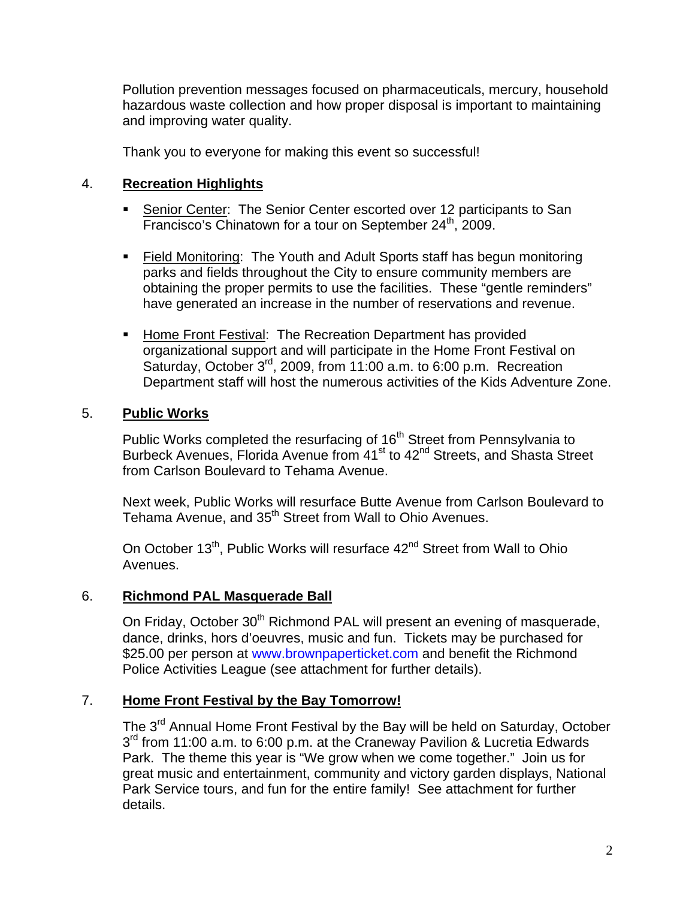Pollution prevention messages focused on pharmaceuticals, mercury, household hazardous waste collection and how proper disposal is important to maintaining and improving water quality.

Thank you to everyone for making this event so successful!

#### 4. **Recreation Highlights**

- **Senior Center: The Senior Center escorted over 12 participants to San** Francisco's Chinatown for a tour on September 24<sup>th</sup>, 2009.
- Field Monitoring: The Youth and Adult Sports staff has begun monitoring parks and fields throughout the City to ensure community members are obtaining the proper permits to use the facilities. These "gentle reminders" have generated an increase in the number of reservations and revenue.
- Home Front Festival: The Recreation Department has provided organizational support and will participate in the Home Front Festival on Saturday, October 3<sup>rd</sup>, 2009, from 11:00 a.m. to 6:00 p.m. Recreation Department staff will host the numerous activities of the Kids Adventure Zone.

#### 5. **Public Works**

Public Works completed the resurfacing of 16<sup>th</sup> Street from Pennsylvania to Burbeck Avenues, Florida Avenue from 41<sup>st</sup> to 42<sup>nd</sup> Streets, and Shasta Street from Carlson Boulevard to Tehama Avenue.

Next week, Public Works will resurface Butte Avenue from Carlson Boulevard to Tehama Avenue, and 35<sup>th</sup> Street from Wall to Ohio Avenues.

On October 13<sup>th</sup>, Public Works will resurface 42<sup>nd</sup> Street from Wall to Ohio Avenues.

#### 6. **Richmond PAL Masquerade Ball**

On Friday, October 30<sup>th</sup> Richmond PAL will present an evening of masquerade, dance, drinks, hors d'oeuvres, music and fun. Tickets may be purchased for \$25.00 per person at [www.brownpaperticket.com](http://www.brownpaperticket.com/) and benefit the Richmond Police Activities League (see attachment for further details).

#### 7. **Home Front Festival by the Bay Tomorrow!**

The 3<sup>rd</sup> Annual Home Front Festival by the Bay will be held on Saturday, October  $3<sup>rd</sup>$  from 11:00 a.m. to 6:00 p.m. at the Craneway Pavilion & Lucretia Edwards Park. The theme this year is "We grow when we come together." Join us for great music and entertainment, community and victory garden displays, National Park Service tours, and fun for the entire family! See attachment for further details.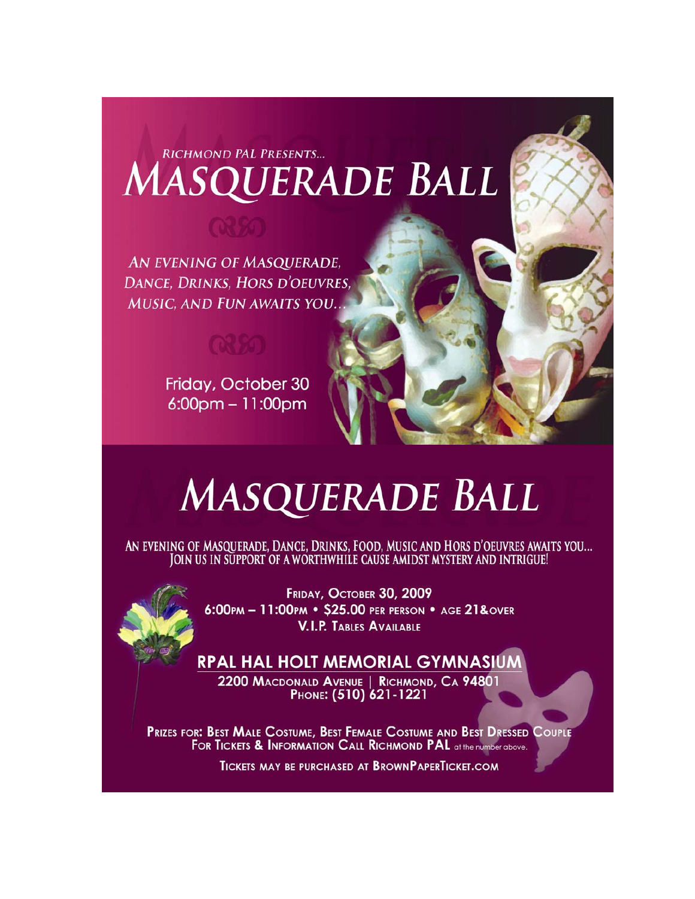## RICHMOND PAL PRESENTS... **MASQUERADE BALL**

AN EVENING OF MASQUERADE, DANCE, DRINKS, HORS D'OEUVRES. MUSIC, AND FUN AWAITS YOU.

Friday, October 30 6:00pm - 11:00pm

# MASQUERADE BALL

AN EVENING OF MASQUERADE, DANCE, DRINKS, FOOD, MUSIC AND HORS D'OEUVRES AWAITS YOU... JOIN US IN SUPPORT OF A WORTHWHILE CAUSE AMIDST MYSTERY AND INTRIGUE!



FRIDAY, OCTOBER 30, 2009 6:00pm - 11:00pm · \$25.00 per person · age 21&over **V.I.P. TABLES AVAILABLE** 

### **RPAL HAL HOLT MEMORIAL GYMNASIUM**

2200 MACDONALD AVENUE | RICHMOND, CA 94801 PHONE: (510) 621-1221

PRIZES FOR: BEST MALE COSTUME, BEST FEMALE COSTUME AND BEST DRESSED COUPLE FOR TICKETS & INFORMATION CALL RICHMOND PAL at the number above.

**TICKETS MAY BE PURCHASED AT BROWNPAPERTICKET.COM**